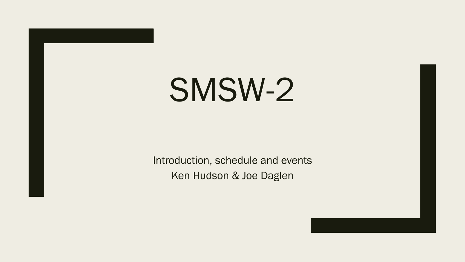# SMSW-2

Introduction, schedule and events Ken Hudson & Joe Daglen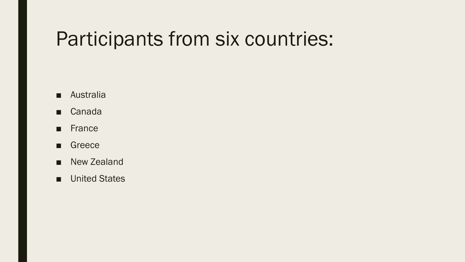#### Participants from six countries:

- Australia
- Canada
- France
- Greece
- New Zealand
- United States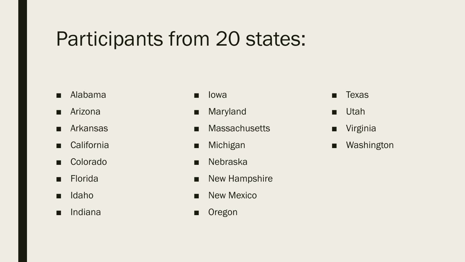## Participants from 20 states:

- Alabama
- Arizona
- Arkansas
- California
- Colorado
- Florida
- Idaho
- Indiana
- **Iowa**
- Maryland
- Massachusetts
- Michigan
- Nebraska
- New Hampshire
- New Mexico
- Oregon
- Texas
- Utah
- Virginia
- Washington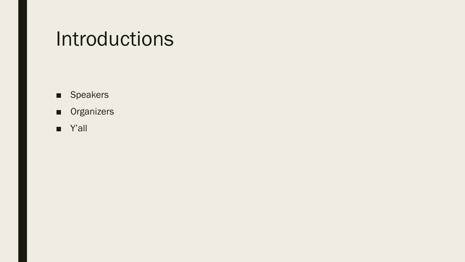## Introductions

- Speakers
- Organizers
- Y'all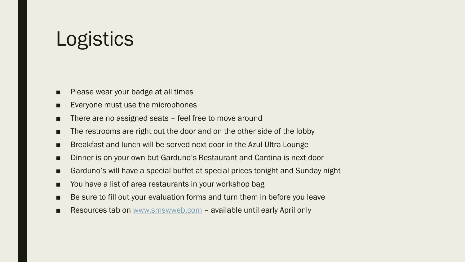## Logistics

- Please wear your badge at all times
- Everyone must use the microphones
- There are no assigned seats feel free to move around
- The restrooms are right out the door and on the other side of the lobby
- Breakfast and lunch will be served next door in the Azul Ultra Lounge
- Dinner is on your own but Garduno's Restaurant and Cantina is next door
- Garduno's will have a special buffet at special prices tonight and Sunday night
- You have a list of area restaurants in your workshop bag
- Be sure to fill out your evaluation forms and turn them in before you leave
- Resources tab on [www.smswweb.com](http://www.smswweb.com/) available until early April only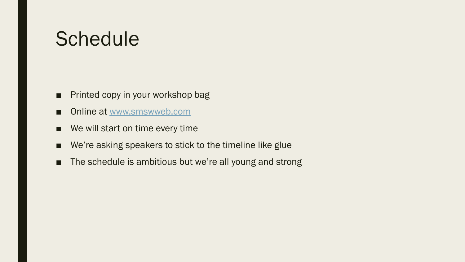### **Schedule**

- Printed copy in your workshop bag
- Online at [www.smswweb.com](http://www.smswweb.com/)
- We will start on time every time
- We're asking speakers to stick to the timeline like glue
- The schedule is ambitious but we're all young and strong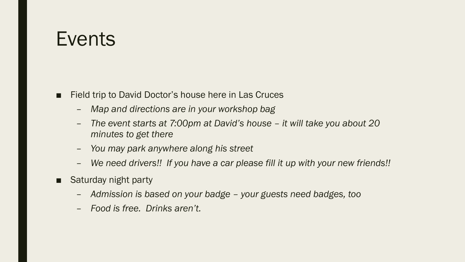#### **Events**

- Field trip to David Doctor's house here in Las Cruces
	- *Map and directions are in your workshop bag*
	- *The event starts at 7:00pm at David's house – it will take you about 20 minutes to get there*
	- *You may park anywhere along his street*
	- *We need drivers!! If you have a car please fill it up with your new friends!!*
- Saturday night party
	- *Admission is based on your badge – your guests need badges, too*
	- *Food is free. Drinks aren't.*